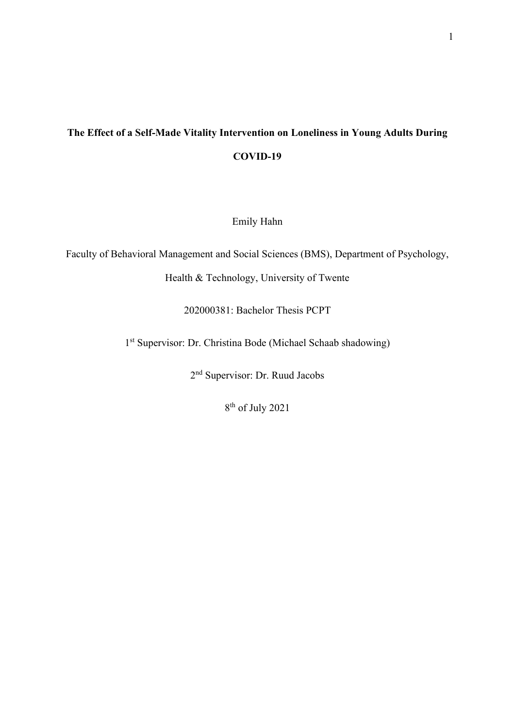# **The Effect of a Self-Made Vitality Intervention on Loneliness in Young Adults During COVID-19**

Emily Hahn

Faculty of Behavioral Management and Social Sciences (BMS), Department of Psychology,

Health & Technology, University of Twente

202000381: Bachelor Thesis PCPT

1 st Supervisor: Dr. Christina Bode (Michael Schaab shadowing)

2<sup>nd</sup> Supervisor: Dr. Ruud Jacobs

8 th of July 2021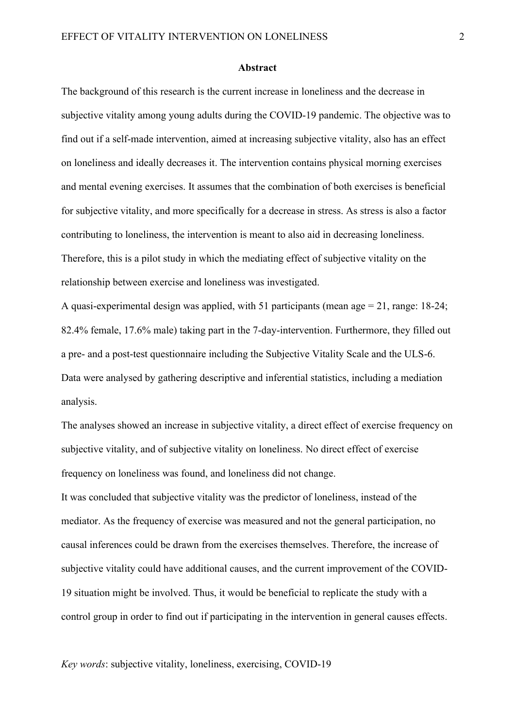#### **Abstract**

The background of this research is the current increase in loneliness and the decrease in subjective vitality among young adults during the COVID-19 pandemic. The objective was to find out if a self-made intervention, aimed at increasing subjective vitality, also has an effect on loneliness and ideally decreases it. The intervention contains physical morning exercises and mental evening exercises. It assumes that the combination of both exercises is beneficial for subjective vitality, and more specifically for a decrease in stress. As stress is also a factor contributing to loneliness, the intervention is meant to also aid in decreasing loneliness. Therefore, this is a pilot study in which the mediating effect of subjective vitality on the relationship between exercise and loneliness was investigated.

A quasi-experimental design was applied, with 51 participants (mean age = 21, range: 18-24; 82.4% female, 17.6% male) taking part in the 7-day-intervention. Furthermore, they filled out a pre- and a post-test questionnaire including the Subjective Vitality Scale and the ULS-6. Data were analysed by gathering descriptive and inferential statistics, including a mediation analysis.

The analyses showed an increase in subjective vitality, a direct effect of exercise frequency on subjective vitality, and of subjective vitality on loneliness. No direct effect of exercise frequency on loneliness was found, and loneliness did not change. It was concluded that subjective vitality was the predictor of loneliness, instead of the mediator. As the frequency of exercise was measured and not the general participation, no causal inferences could be drawn from the exercises themselves. Therefore, the increase of subjective vitality could have additional causes, and the current improvement of the COVID-19 situation might be involved. Thus, it would be beneficial to replicate the study with a control group in order to find out if participating in the intervention in general causes effects.

*Key words*: subjective vitality, loneliness, exercising, COVID-19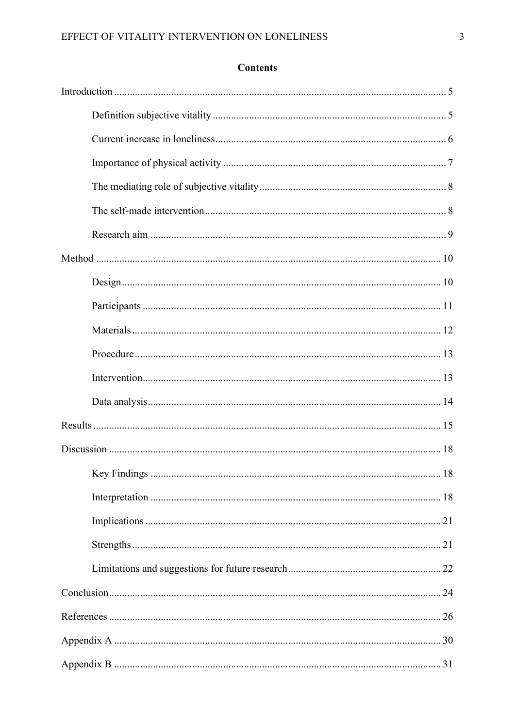## **Contents**

| Design 10 |  |
|-----------|--|
|           |  |
|           |  |
|           |  |
|           |  |
|           |  |
|           |  |
|           |  |
|           |  |
|           |  |
|           |  |
|           |  |
|           |  |
|           |  |
|           |  |
|           |  |
|           |  |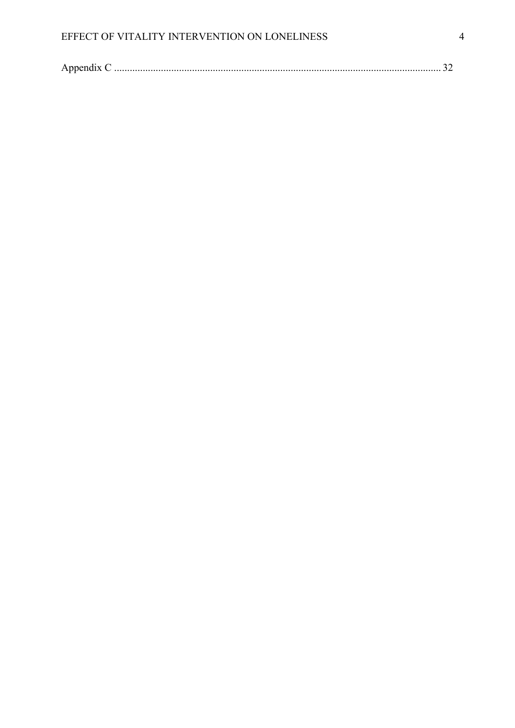|--|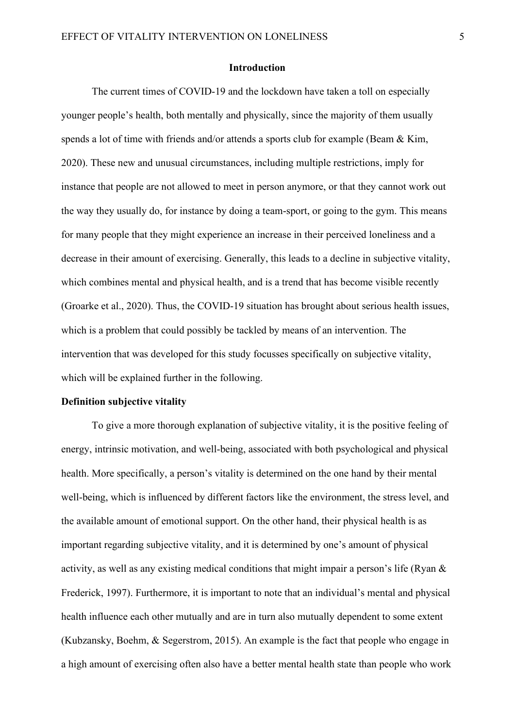#### **Introduction**

<span id="page-4-0"></span>The current times of COVID-19 and the lockdown have taken a toll on especially younger people's health, both mentally and physically, since the majority of them usually spends a lot of time with friends and/or attends a sports club for example (Beam & Kim, 2020). These new and unusual circumstances, including multiple restrictions, imply for instance that people are not allowed to meet in person anymore, or that they cannot work out the way they usually do, for instance by doing a team-sport, or going to the gym. This means for many people that they might experience an increase in their perceived loneliness and a decrease in their amount of exercising. Generally, this leads to a decline in subjective vitality, which combines mental and physical health, and is a trend that has become visible recently (Groarke et al., 2020). Thus, the COVID-19 situation has brought about serious health issues, which is a problem that could possibly be tackled by means of an intervention. The intervention that was developed for this study focusses specifically on subjective vitality, which will be explained further in the following.

#### <span id="page-4-1"></span>**Definition subjective vitality**

To give a more thorough explanation of subjective vitality, it is the positive feeling of energy, intrinsic motivation, and well-being, associated with both psychological and physical health. More specifically, a person's vitality is determined on the one hand by their mental well-being, which is influenced by different factors like the environment, the stress level, and the available amount of emotional support. On the other hand, their physical health is as important regarding subjective vitality, and it is determined by one's amount of physical activity, as well as any existing medical conditions that might impair a person's life (Ryan & Frederick, 1997). Furthermore, it is important to note that an individual's mental and physical health influence each other mutually and are in turn also mutually dependent to some extent (Kubzansky, Boehm, & Segerstrom, 2015). An example is the fact that people who engage in a high amount of exercising often also have a better mental health state than people who work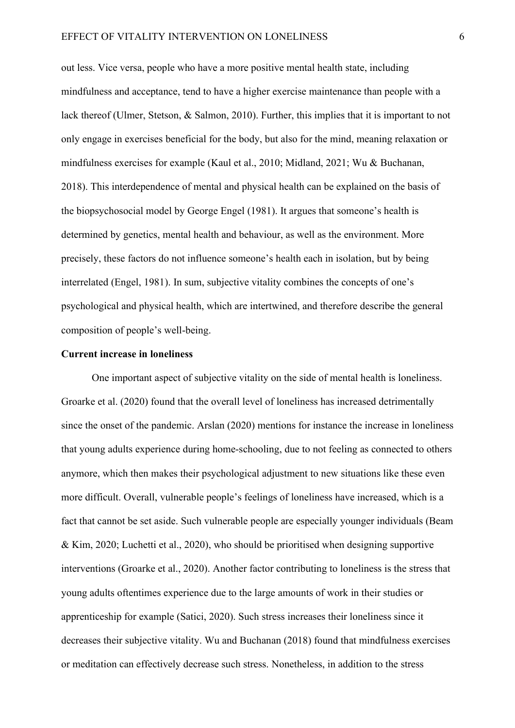out less. Vice versa, people who have a more positive mental health state, including mindfulness and acceptance, tend to have a higher exercise maintenance than people with a lack thereof (Ulmer, Stetson, & Salmon, 2010). Further, this implies that it is important to not only engage in exercises beneficial for the body, but also for the mind, meaning relaxation or mindfulness exercises for example (Kaul et al., 2010; Midland, 2021; Wu & Buchanan, 2018). This interdependence of mental and physical health can be explained on the basis of the biopsychosocial model by George Engel (1981). It argues that someone's health is determined by genetics, mental health and behaviour, as well as the environment. More precisely, these factors do not influence someone's health each in isolation, but by being interrelated (Engel, 1981). In sum, subjective vitality combines the concepts of one's psychological and physical health, which are intertwined, and therefore describe the general composition of people's well-being.

#### <span id="page-5-0"></span>**Current increase in loneliness**

One important aspect of subjective vitality on the side of mental health is loneliness. Groarke et al. (2020) found that the overall level of loneliness has increased detrimentally since the onset of the pandemic. Arslan (2020) mentions for instance the increase in loneliness that young adults experience during home-schooling, due to not feeling as connected to others anymore, which then makes their psychological adjustment to new situations like these even more difficult. Overall, vulnerable people's feelings of loneliness have increased, which is a fact that cannot be set aside. Such vulnerable people are especially younger individuals (Beam & Kim, 2020; Luchetti et al., 2020), who should be prioritised when designing supportive interventions (Groarke et al., 2020). Another factor contributing to loneliness is the stress that young adults oftentimes experience due to the large amounts of work in their studies or apprenticeship for example (Satici, 2020). Such stress increases their loneliness since it decreases their subjective vitality. Wu and Buchanan (2018) found that mindfulness exercises or meditation can effectively decrease such stress. Nonetheless, in addition to the stress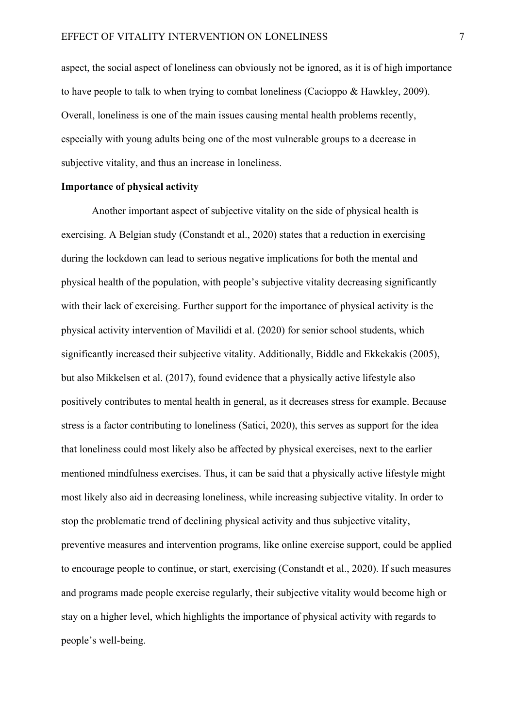aspect, the social aspect of loneliness can obviously not be ignored, as it is of high importance to have people to talk to when trying to combat loneliness (Cacioppo & Hawkley, 2009). Overall, loneliness is one of the main issues causing mental health problems recently, especially with young adults being one of the most vulnerable groups to a decrease in subjective vitality, and thus an increase in loneliness.

#### <span id="page-6-0"></span>**Importance of physical activity**

Another important aspect of subjective vitality on the side of physical health is exercising. A Belgian study (Constandt et al., 2020) states that a reduction in exercising during the lockdown can lead to serious negative implications for both the mental and physical health of the population, with people's subjective vitality decreasing significantly with their lack of exercising. Further support for the importance of physical activity is the physical activity intervention of Mavilidi et al. (2020) for senior school students, which significantly increased their subjective vitality. Additionally, Biddle and Ekkekakis (2005), but also Mikkelsen et al. (2017), found evidence that a physically active lifestyle also positively contributes to mental health in general, as it decreases stress for example. Because stress is a factor contributing to loneliness (Satici, 2020), this serves as support for the idea that loneliness could most likely also be affected by physical exercises, next to the earlier mentioned mindfulness exercises. Thus, it can be said that a physically active lifestyle might most likely also aid in decreasing loneliness, while increasing subjective vitality. In order to stop the problematic trend of declining physical activity and thus subjective vitality, preventive measures and intervention programs, like online exercise support, could be applied to encourage people to continue, or start, exercising (Constandt et al., 2020). If such measures and programs made people exercise regularly, their subjective vitality would become high or stay on a higher level, which highlights the importance of physical activity with regards to people's well-being.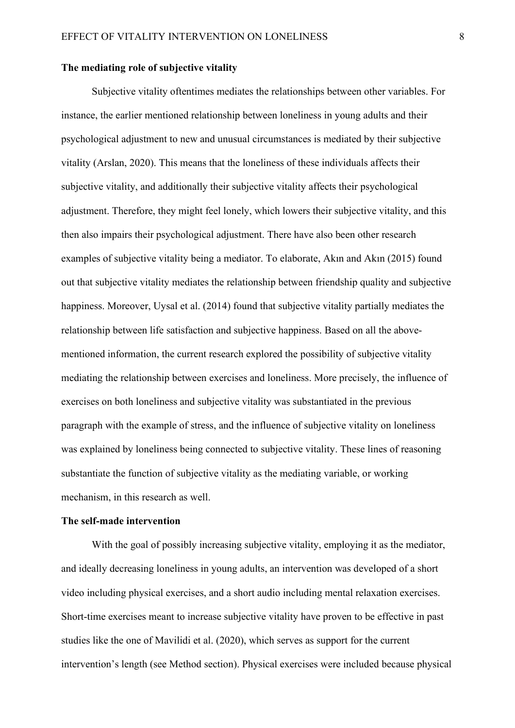#### <span id="page-7-0"></span>**The mediating role of subjective vitality**

Subjective vitality oftentimes mediates the relationships between other variables. For instance, the earlier mentioned relationship between loneliness in young adults and their psychological adjustment to new and unusual circumstances is mediated by their subjective vitality (Arslan, 2020). This means that the loneliness of these individuals affects their subjective vitality, and additionally their subjective vitality affects their psychological adjustment. Therefore, they might feel lonely, which lowers their subjective vitality, and this then also impairs their psychological adjustment. There have also been other research examples of subjective vitality being a mediator. To elaborate, Akın and Akın (2015) found out that subjective vitality mediates the relationship between friendship quality and subjective happiness. Moreover, Uysal et al. (2014) found that subjective vitality partially mediates the relationship between life satisfaction and subjective happiness. Based on all the abovementioned information, the current research explored the possibility of subjective vitality mediating the relationship between exercises and loneliness. More precisely, the influence of exercises on both loneliness and subjective vitality was substantiated in the previous paragraph with the example of stress, and the influence of subjective vitality on loneliness was explained by loneliness being connected to subjective vitality. These lines of reasoning substantiate the function of subjective vitality as the mediating variable, or working mechanism, in this research as well.

#### <span id="page-7-1"></span>**The self-made intervention**

With the goal of possibly increasing subjective vitality, employing it as the mediator, and ideally decreasing loneliness in young adults, an intervention was developed of a short video including physical exercises, and a short audio including mental relaxation exercises. Short-time exercises meant to increase subjective vitality have proven to be effective in past studies like the one of Mavilidi et al. (2020), which serves as support for the current intervention's length (see Method section). Physical exercises were included because physical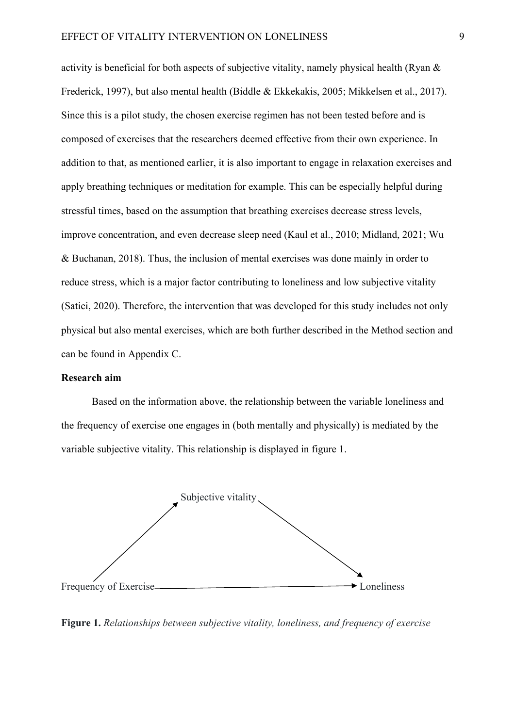activity is beneficial for both aspects of subjective vitality, namely physical health (Ryan & Frederick, 1997), but also mental health (Biddle & Ekkekakis, 2005; Mikkelsen et al., 2017). Since this is a pilot study, the chosen exercise regimen has not been tested before and is composed of exercises that the researchers deemed effective from their own experience. In addition to that, as mentioned earlier, it is also important to engage in relaxation exercises and apply breathing techniques or meditation for example. This can be especially helpful during stressful times, based on the assumption that breathing exercises decrease stress levels, improve concentration, and even decrease sleep need (Kaul et al., 2010; Midland, 2021; Wu & Buchanan, 2018). Thus, the inclusion of mental exercises was done mainly in order to reduce stress, which is a major factor contributing to loneliness and low subjective vitality (Satici, 2020). Therefore, the intervention that was developed for this study includes not only physical but also mental exercises, which are both further described in the Method section and can be found in Appendix C.

#### <span id="page-8-0"></span>**Research aim**

Based on the information above, the relationship between the variable loneliness and the frequency of exercise one engages in (both mentally and physically) is mediated by the variable subjective vitality. This relationship is displayed in figure 1.



**Figure 1.** *Relationships between subjective vitality, loneliness, and frequency of exercise*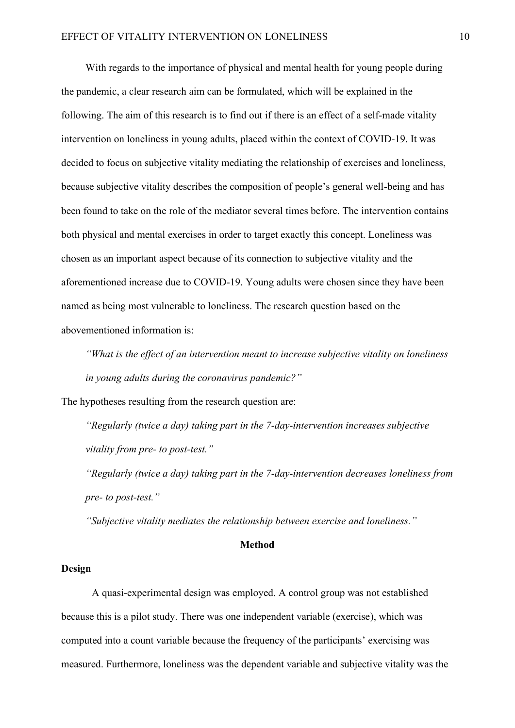With regards to the importance of physical and mental health for young people during the pandemic, a clear research aim can be formulated, which will be explained in the following. The aim of this research is to find out if there is an effect of a self-made vitality intervention on loneliness in young adults, placed within the context of COVID-19. It was decided to focus on subjective vitality mediating the relationship of exercises and loneliness, because subjective vitality describes the composition of people's general well-being and has been found to take on the role of the mediator several times before. The intervention contains both physical and mental exercises in order to target exactly this concept. Loneliness was chosen as an important aspect because of its connection to subjective vitality and the aforementioned increase due to COVID-19. Young adults were chosen since they have been named as being most vulnerable to loneliness. The research question based on the abovementioned information is:

*"What is the effect of an intervention meant to increase subjective vitality on loneliness in young adults during the coronavirus pandemic?"*

The hypotheses resulting from the research question are:

*"Regularly (twice a day) taking part in the 7-day-intervention increases subjective vitality from pre- to post-test."*

*"Regularly (twice a day) taking part in the 7-day-intervention decreases loneliness from pre- to post-test."*

*"Subjective vitality mediates the relationship between exercise and loneliness."*

#### **Method**

#### <span id="page-9-1"></span><span id="page-9-0"></span>**Design**

A quasi-experimental design was employed. A control group was not established because this is a pilot study. There was one independent variable (exercise), which was computed into a count variable because the frequency of the participants' exercising was measured. Furthermore, loneliness was the dependent variable and subjective vitality was the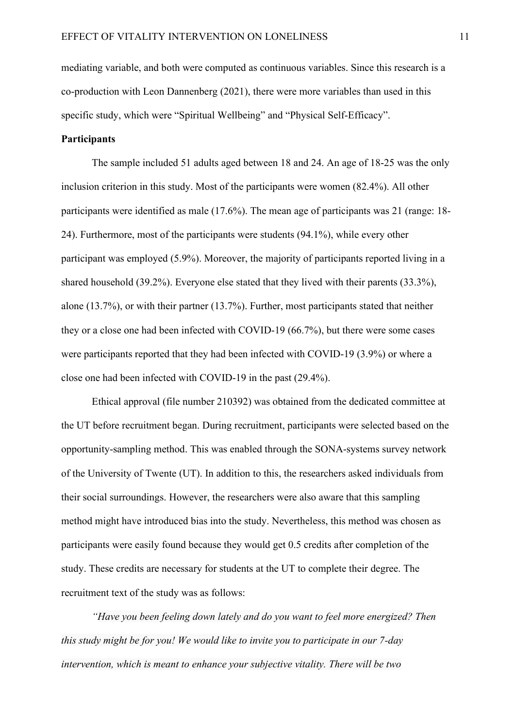mediating variable, and both were computed as continuous variables. Since this research is a co-production with Leon Dannenberg (2021), there were more variables than used in this specific study, which were "Spiritual Wellbeing" and "Physical Self-Efficacy".

### <span id="page-10-0"></span>**Participants**

The sample included 51 adults aged between 18 and 24. An age of 18-25 was the only inclusion criterion in this study. Most of the participants were women (82.4%). All other participants were identified as male (17.6%). The mean age of participants was 21 (range: 18- 24). Furthermore, most of the participants were students (94.1%), while every other participant was employed (5.9%). Moreover, the majority of participants reported living in a shared household (39.2%). Everyone else stated that they lived with their parents (33.3%), alone (13.7%), or with their partner (13.7%). Further, most participants stated that neither they or a close one had been infected with COVID-19 (66.7%), but there were some cases were participants reported that they had been infected with COVID-19 (3.9%) or where a close one had been infected with COVID-19 in the past (29.4%).

Ethical approval (file number 210392) was obtained from the dedicated committee at the UT before recruitment began. During recruitment, participants were selected based on the opportunity-sampling method. This was enabled through the SONA-systems survey network of the University of Twente (UT). In addition to this, the researchers asked individuals from their social surroundings. However, the researchers were also aware that this sampling method might have introduced bias into the study. Nevertheless, this method was chosen as participants were easily found because they would get 0.5 credits after completion of the study. These credits are necessary for students at the UT to complete their degree. The recruitment text of the study was as follows:

*"Have you been feeling down lately and do you want to feel more energized? Then this study might be for you! We would like to invite you to participate in our 7-day intervention, which is meant to enhance your subjective vitality. There will be two*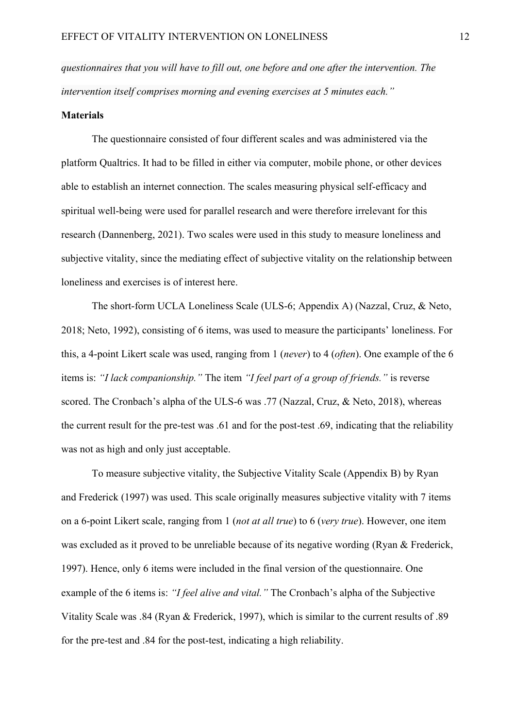*questionnaires that you will have to fill out, one before and one after the intervention. The intervention itself comprises morning and evening exercises at 5 minutes each."*

#### <span id="page-11-0"></span>**Materials**

The questionnaire consisted of four different scales and was administered via the platform Qualtrics. It had to be filled in either via computer, mobile phone, or other devices able to establish an internet connection. The scales measuring physical self-efficacy and spiritual well-being were used for parallel research and were therefore irrelevant for this research (Dannenberg, 2021). Two scales were used in this study to measure loneliness and subjective vitality, since the mediating effect of subjective vitality on the relationship between loneliness and exercises is of interest here.

The short-form UCLA Loneliness Scale (ULS-6; Appendix A) (Nazzal, Cruz, & Neto, 2018; Neto, 1992), consisting of 6 items, was used to measure the participants' loneliness. For this, a 4-point Likert scale was used, ranging from 1 (*never*) to 4 (*often*). One example of the 6 items is: *"I lack companionship."* The item *"I feel part of a group of friends."* is reverse scored. The Cronbach's alpha of the ULS-6 was .77 (Nazzal, Cruz, & Neto, 2018), whereas the current result for the pre-test was .61 and for the post-test .69, indicating that the reliability was not as high and only just acceptable.

To measure subjective vitality, the Subjective Vitality Scale (Appendix B) by Ryan and Frederick (1997) was used. This scale originally measures subjective vitality with 7 items on a 6-point Likert scale, ranging from 1 (*not at all true*) to 6 (*very true*). However, one item was excluded as it proved to be unreliable because of its negative wording (Ryan & Frederick, 1997). Hence, only 6 items were included in the final version of the questionnaire. One example of the 6 items is: *"I feel alive and vital."* The Cronbach's alpha of the Subjective Vitality Scale was .84 (Ryan & Frederick, 1997), which is similar to the current results of .89 for the pre-test and .84 for the post-test, indicating a high reliability.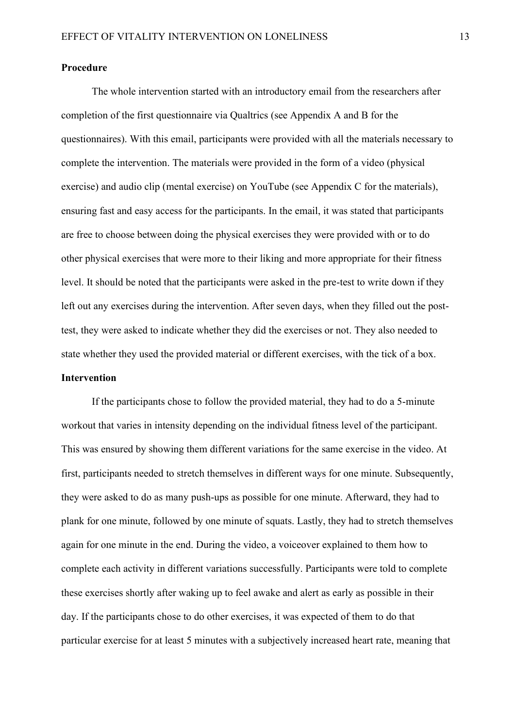#### <span id="page-12-0"></span>**Procedure**

The whole intervention started with an introductory email from the researchers after completion of the first questionnaire via Qualtrics (see Appendix A and B for the questionnaires). With this email, participants were provided with all the materials necessary to complete the intervention. The materials were provided in the form of a video (physical exercise) and audio clip (mental exercise) on YouTube (see Appendix C for the materials), ensuring fast and easy access for the participants. In the email, it was stated that participants are free to choose between doing the physical exercises they were provided with or to do other physical exercises that were more to their liking and more appropriate for their fitness level. It should be noted that the participants were asked in the pre-test to write down if they left out any exercises during the intervention. After seven days, when they filled out the posttest, they were asked to indicate whether they did the exercises or not. They also needed to state whether they used the provided material or different exercises, with the tick of a box. **Intervention**

<span id="page-12-1"></span>If the participants chose to follow the provided material, they had to do a 5-minute workout that varies in intensity depending on the individual fitness level of the participant. This was ensured by showing them different variations for the same exercise in the video. At first, participants needed to stretch themselves in different ways for one minute. Subsequently, they were asked to do as many push-ups as possible for one minute. Afterward, they had to plank for one minute, followed by one minute of squats. Lastly, they had to stretch themselves again for one minute in the end. During the video, a voiceover explained to them how to complete each activity in different variations successfully. Participants were told to complete these exercises shortly after waking up to feel awake and alert as early as possible in their day. If the participants chose to do other exercises, it was expected of them to do that particular exercise for at least 5 minutes with a subjectively increased heart rate, meaning that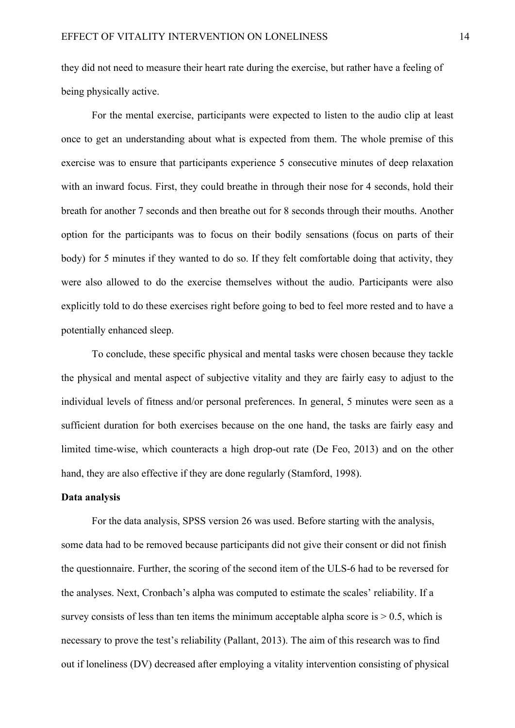they did not need to measure their heart rate during the exercise, but rather have a feeling of being physically active.

 For the mental exercise, participants were expected to listen to the audio clip at least once to get an understanding about what is expected from them. The whole premise of this exercise was to ensure that participants experience 5 consecutive minutes of deep relaxation with an inward focus. First, they could breathe in through their nose for 4 seconds, hold their breath for another 7 seconds and then breathe out for 8 seconds through their mouths. Another option for the participants was to focus on their bodily sensations (focus on parts of their body) for 5 minutes if they wanted to do so. If they felt comfortable doing that activity, they were also allowed to do the exercise themselves without the audio. Participants were also explicitly told to do these exercises right before going to bed to feel more rested and to have a potentially enhanced sleep.

To conclude, these specific physical and mental tasks were chosen because they tackle the physical and mental aspect of subjective vitality and they are fairly easy to adjust to the individual levels of fitness and/or personal preferences. In general, 5 minutes were seen as a sufficient duration for both exercises because on the one hand, the tasks are fairly easy and limited time-wise, which counteracts a high drop-out rate (De Feo, 2013) and on the other hand, they are also effective if they are done regularly (Stamford, 1998).

#### <span id="page-13-0"></span>**Data analysis**

For the data analysis, SPSS version 26 was used. Before starting with the analysis, some data had to be removed because participants did not give their consent or did not finish the questionnaire. Further, the scoring of the second item of the ULS-6 had to be reversed for the analyses. Next, Cronbach's alpha was computed to estimate the scales' reliability. If a survey consists of less than ten items the minimum acceptable alpha score is  $> 0.5$ , which is necessary to prove the test's reliability (Pallant, 2013). The aim of this research was to find out if loneliness (DV) decreased after employing a vitality intervention consisting of physical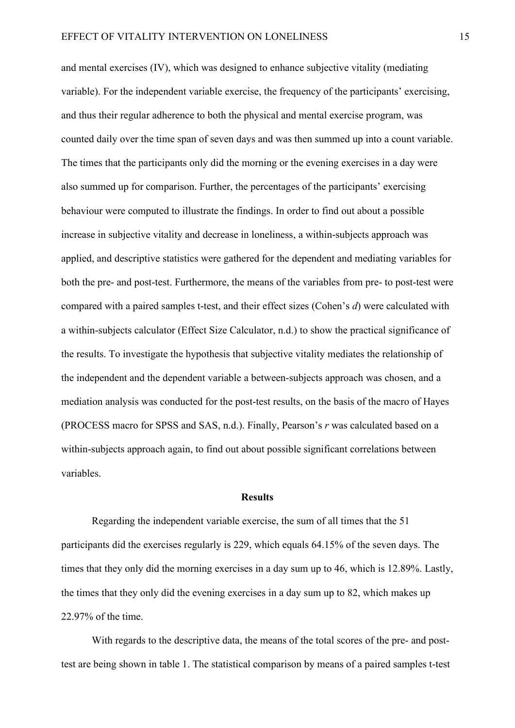and mental exercises (IV), which was designed to enhance subjective vitality (mediating variable). For the independent variable exercise, the frequency of the participants' exercising, and thus their regular adherence to both the physical and mental exercise program, was counted daily over the time span of seven days and was then summed up into a count variable. The times that the participants only did the morning or the evening exercises in a day were also summed up for comparison. Further, the percentages of the participants' exercising behaviour were computed to illustrate the findings. In order to find out about a possible increase in subjective vitality and decrease in loneliness, a within-subjects approach was applied, and descriptive statistics were gathered for the dependent and mediating variables for both the pre- and post-test. Furthermore, the means of the variables from pre- to post-test were compared with a paired samples t-test, and their effect sizes (Cohen's *d*) were calculated with a within-subjects calculator (Effect Size Calculator, n.d.) to show the practical significance of the results. To investigate the hypothesis that subjective vitality mediates the relationship of the independent and the dependent variable a between-subjects approach was chosen, and a mediation analysis was conducted for the post-test results, on the basis of the macro of Hayes (PROCESS macro for SPSS and SAS, n.d.). Finally, Pearson's *r* was calculated based on a within-subjects approach again, to find out about possible significant correlations between variables.

#### **Results**

<span id="page-14-0"></span>Regarding the independent variable exercise, the sum of all times that the 51 participants did the exercises regularly is 229, which equals 64.15% of the seven days. The times that they only did the morning exercises in a day sum up to 46, which is 12.89%. Lastly, the times that they only did the evening exercises in a day sum up to 82, which makes up 22.97% of the time.

With regards to the descriptive data, the means of the total scores of the pre- and posttest are being shown in table 1. The statistical comparison by means of a paired samples t-test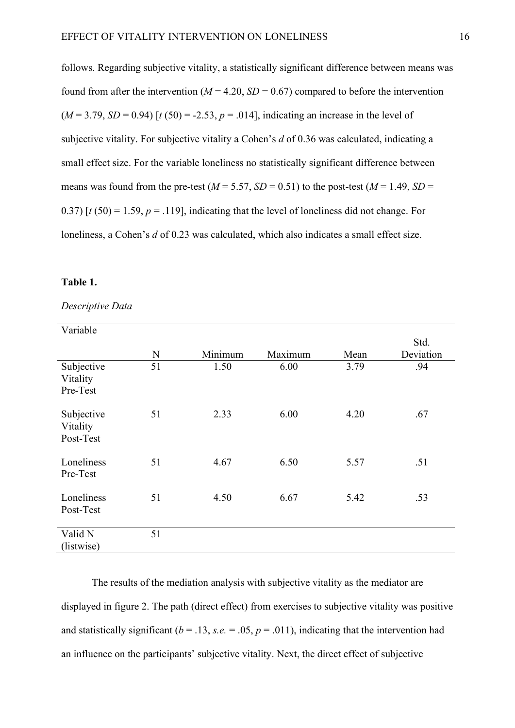follows. Regarding subjective vitality, a statistically significant difference between means was found from after the intervention ( $M = 4.20$ ,  $SD = 0.67$ ) compared to before the intervention  $(M = 3.79, SD = 0.94)$  [ $t(50) = -2.53, p = .014$ ], indicating an increase in the level of subjective vitality. For subjective vitality a Cohen's *d* of 0.36 was calculated, indicating a small effect size. For the variable loneliness no statistically significant difference between means was found from the pre-test ( $M = 5.57$ ,  $SD = 0.51$ ) to the post-test ( $M = 1.49$ ,  $SD =$ 0.37)  $[t(50) = 1.59, p = .119]$ , indicating that the level of loneliness did not change. For loneliness, a Cohen's *d* of 0.23 was calculated, which also indicates a small effect size.

#### **Table 1.**

| Variable                            |    |         |         |      |                   |
|-------------------------------------|----|---------|---------|------|-------------------|
|                                     | N  | Minimum | Maximum | Mean | Std.<br>Deviation |
| Subjective<br>Vitality<br>Pre-Test  | 51 | 1.50    | 6.00    | 3.79 | .94               |
| Subjective<br>Vitality<br>Post-Test | 51 | 2.33    | 6.00    | 4.20 | .67               |
| Loneliness<br>Pre-Test              | 51 | 4.67    | 6.50    | 5.57 | .51               |
| Loneliness<br>Post-Test             | 51 | 4.50    | 6.67    | 5.42 | .53               |
| Valid N<br>(listwise)               | 51 |         |         |      |                   |

*Descriptive Data*

The results of the mediation analysis with subjective vitality as the mediator are displayed in figure 2. The path (direct effect) from exercises to subjective vitality was positive and statistically significant ( $b = .13$ ,  $s.e. = .05$ ,  $p = .011$ ), indicating that the intervention had an influence on the participants' subjective vitality. Next, the direct effect of subjective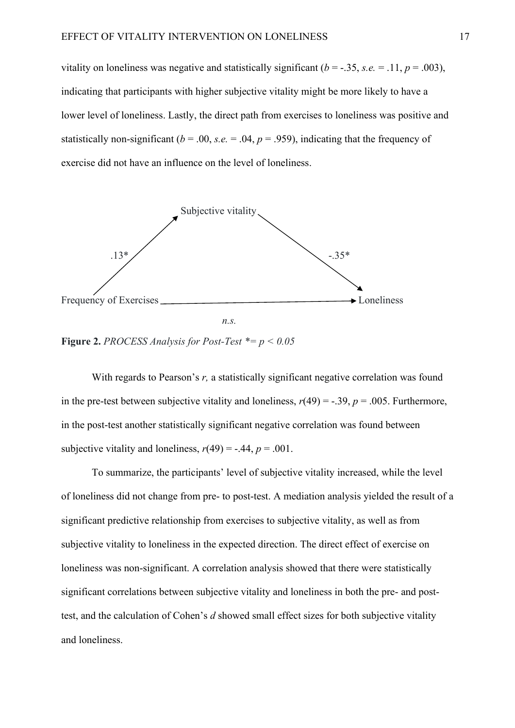vitality on loneliness was negative and statistically significant  $(b = -.35, s.e. = .11, p = .003)$ , indicating that participants with higher subjective vitality might be more likely to have a lower level of loneliness. Lastly, the direct path from exercises to loneliness was positive and statistically non-significant ( $b = .00$ , *s.e.* = .04,  $p = .959$ ), indicating that the frequency of exercise did not have an influence on the level of loneliness.





**Figure 2.** *PROCESS Analysis for Post-Test*  $* = p < 0.05$ 

With regards to Pearson's *r*, a statistically significant negative correlation was found in the pre-test between subjective vitality and loneliness,  $r(49) = -.39$ ,  $p = .005$ . Furthermore, in the post-test another statistically significant negative correlation was found between subjective vitality and loneliness,  $r(49) = -.44$ ,  $p = .001$ .

To summarize, the participants' level of subjective vitality increased, while the level of loneliness did not change from pre- to post-test. A mediation analysis yielded the result of a significant predictive relationship from exercises to subjective vitality, as well as from subjective vitality to loneliness in the expected direction. The direct effect of exercise on loneliness was non-significant. A correlation analysis showed that there were statistically significant correlations between subjective vitality and loneliness in both the pre- and posttest, and the calculation of Cohen's *d* showed small effect sizes for both subjective vitality and loneliness.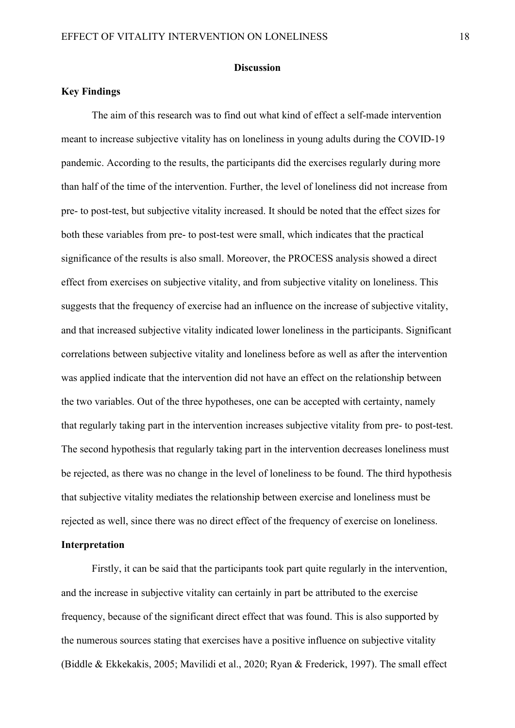#### **Discussion**

#### <span id="page-17-1"></span><span id="page-17-0"></span>**Key Findings**

The aim of this research was to find out what kind of effect a self-made intervention meant to increase subjective vitality has on loneliness in young adults during the COVID-19 pandemic. According to the results, the participants did the exercises regularly during more than half of the time of the intervention. Further, the level of loneliness did not increase from pre- to post-test, but subjective vitality increased. It should be noted that the effect sizes for both these variables from pre- to post-test were small, which indicates that the practical significance of the results is also small. Moreover, the PROCESS analysis showed a direct effect from exercises on subjective vitality, and from subjective vitality on loneliness. This suggests that the frequency of exercise had an influence on the increase of subjective vitality, and that increased subjective vitality indicated lower loneliness in the participants. Significant correlations between subjective vitality and loneliness before as well as after the intervention was applied indicate that the intervention did not have an effect on the relationship between the two variables. Out of the three hypotheses, one can be accepted with certainty, namely that regularly taking part in the intervention increases subjective vitality from pre- to post-test. The second hypothesis that regularly taking part in the intervention decreases loneliness must be rejected, as there was no change in the level of loneliness to be found. The third hypothesis that subjective vitality mediates the relationship between exercise and loneliness must be rejected as well, since there was no direct effect of the frequency of exercise on loneliness.

### <span id="page-17-2"></span>**Interpretation**

Firstly, it can be said that the participants took part quite regularly in the intervention, and the increase in subjective vitality can certainly in part be attributed to the exercise frequency, because of the significant direct effect that was found. This is also supported by the numerous sources stating that exercises have a positive influence on subjective vitality (Biddle & Ekkekakis, 2005; Mavilidi et al., 2020; Ryan & Frederick, 1997). The small effect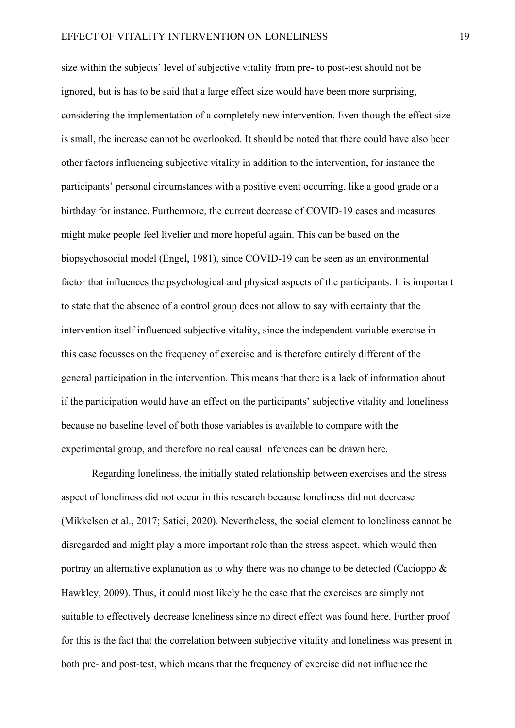size within the subjects' level of subjective vitality from pre- to post-test should not be ignored, but is has to be said that a large effect size would have been more surprising, considering the implementation of a completely new intervention. Even though the effect size is small, the increase cannot be overlooked. It should be noted that there could have also been other factors influencing subjective vitality in addition to the intervention, for instance the participants' personal circumstances with a positive event occurring, like a good grade or a birthday for instance. Furthermore, the current decrease of COVID-19 cases and measures might make people feel livelier and more hopeful again. This can be based on the biopsychosocial model (Engel, 1981), since COVID-19 can be seen as an environmental factor that influences the psychological and physical aspects of the participants. It is important to state that the absence of a control group does not allow to say with certainty that the intervention itself influenced subjective vitality, since the independent variable exercise in this case focusses on the frequency of exercise and is therefore entirely different of the general participation in the intervention. This means that there is a lack of information about if the participation would have an effect on the participants' subjective vitality and loneliness because no baseline level of both those variables is available to compare with the experimental group, and therefore no real causal inferences can be drawn here.

Regarding loneliness, the initially stated relationship between exercises and the stress aspect of loneliness did not occur in this research because loneliness did not decrease (Mikkelsen et al., 2017; Satici, 2020). Nevertheless, the social element to loneliness cannot be disregarded and might play a more important role than the stress aspect, which would then portray an alternative explanation as to why there was no change to be detected (Cacioppo & Hawkley, 2009). Thus, it could most likely be the case that the exercises are simply not suitable to effectively decrease loneliness since no direct effect was found here. Further proof for this is the fact that the correlation between subjective vitality and loneliness was present in both pre- and post-test, which means that the frequency of exercise did not influence the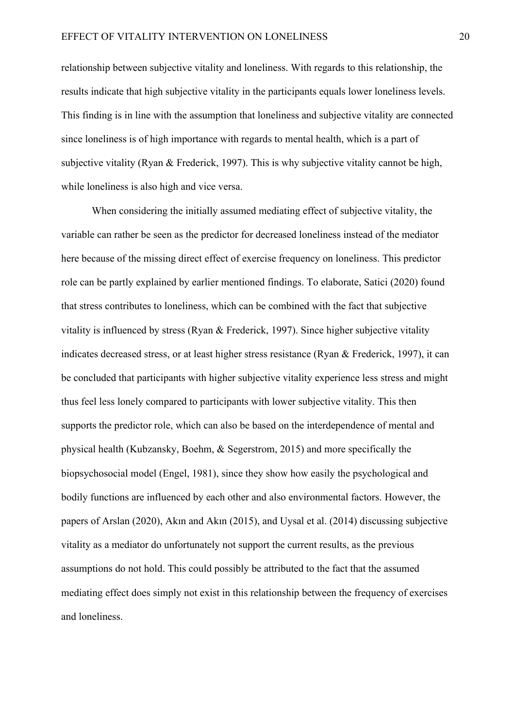relationship between subjective vitality and loneliness. With regards to this relationship, the results indicate that high subjective vitality in the participants equals lower loneliness levels. This finding is in line with the assumption that loneliness and subjective vitality are connected since loneliness is of high importance with regards to mental health, which is a part of subjective vitality (Ryan & Frederick, 1997). This is why subjective vitality cannot be high, while loneliness is also high and vice versa.

When considering the initially assumed mediating effect of subjective vitality, the variable can rather be seen as the predictor for decreased loneliness instead of the mediator here because of the missing direct effect of exercise frequency on loneliness. This predictor role can be partly explained by earlier mentioned findings. To elaborate, Satici (2020) found that stress contributes to loneliness, which can be combined with the fact that subjective vitality is influenced by stress (Ryan & Frederick, 1997). Since higher subjective vitality indicates decreased stress, or at least higher stress resistance (Ryan & Frederick, 1997), it can be concluded that participants with higher subjective vitality experience less stress and might thus feel less lonely compared to participants with lower subjective vitality. This then supports the predictor role, which can also be based on the interdependence of mental and physical health (Kubzansky, Boehm, & Segerstrom, 2015) and more specifically the biopsychosocial model (Engel, 1981), since they show how easily the psychological and bodily functions are influenced by each other and also environmental factors. However, the papers of Arslan (2020), Akın and Akın (2015), and Uysal et al. (2014) discussing subjective vitality as a mediator do unfortunately not support the current results, as the previous assumptions do not hold. This could possibly be attributed to the fact that the assumed mediating effect does simply not exist in this relationship between the frequency of exercises and loneliness.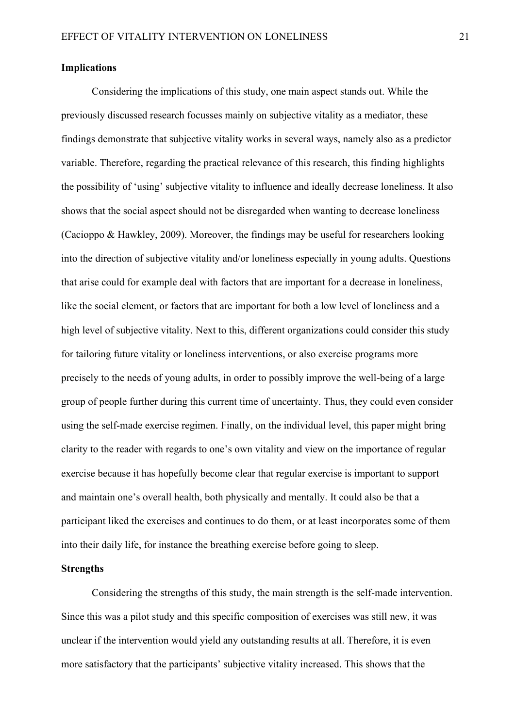#### <span id="page-20-0"></span>**Implications**

Considering the implications of this study, one main aspect stands out. While the previously discussed research focusses mainly on subjective vitality as a mediator, these findings demonstrate that subjective vitality works in several ways, namely also as a predictor variable. Therefore, regarding the practical relevance of this research, this finding highlights the possibility of 'using' subjective vitality to influence and ideally decrease loneliness. It also shows that the social aspect should not be disregarded when wanting to decrease loneliness (Cacioppo & Hawkley, 2009). Moreover, the findings may be useful for researchers looking into the direction of subjective vitality and/or loneliness especially in young adults. Questions that arise could for example deal with factors that are important for a decrease in loneliness, like the social element, or factors that are important for both a low level of loneliness and a high level of subjective vitality. Next to this, different organizations could consider this study for tailoring future vitality or loneliness interventions, or also exercise programs more precisely to the needs of young adults, in order to possibly improve the well-being of a large group of people further during this current time of uncertainty. Thus, they could even consider using the self-made exercise regimen. Finally, on the individual level, this paper might bring clarity to the reader with regards to one's own vitality and view on the importance of regular exercise because it has hopefully become clear that regular exercise is important to support and maintain one's overall health, both physically and mentally. It could also be that a participant liked the exercises and continues to do them, or at least incorporates some of them into their daily life, for instance the breathing exercise before going to sleep.

#### <span id="page-20-1"></span>**Strengths**

Considering the strengths of this study, the main strength is the self-made intervention. Since this was a pilot study and this specific composition of exercises was still new, it was unclear if the intervention would yield any outstanding results at all. Therefore, it is even more satisfactory that the participants' subjective vitality increased. This shows that the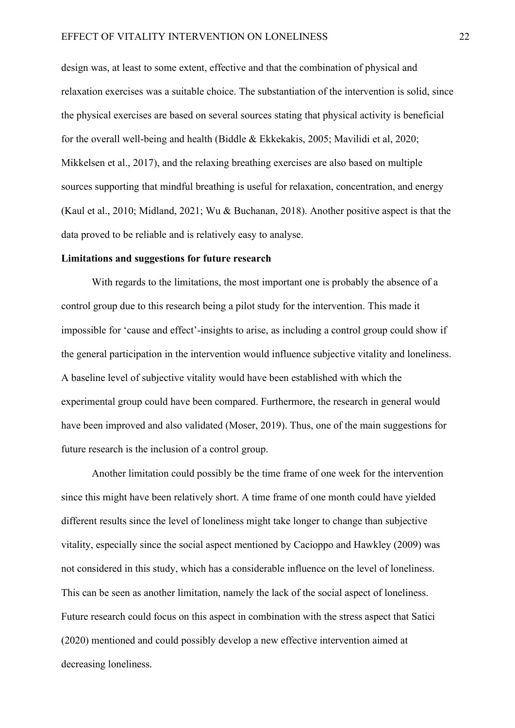design was, at least to some extent, effective and that the combination of physical and relaxation exercises was a suitable choice. The substantiation of the intervention is solid, since the physical exercises are based on several sources stating that physical activity is beneficial for the overall well-being and health (Biddle & Ekkekakis, 2005; Mavilidi et al, 2020; Mikkelsen et al., 2017), and the relaxing breathing exercises are also based on multiple sources supporting that mindful breathing is useful for relaxation, concentration, and energy (Kaul et al., 2010; Midland, 2021; Wu & Buchanan, 2018). Another positive aspect is that the data proved to be reliable and is relatively easy to analyse.

#### <span id="page-21-0"></span>**Limitations and suggestions for future research**

With regards to the limitations, the most important one is probably the absence of a control group due to this research being a pilot study for the intervention. This made it impossible for 'cause and effect'-insights to arise, as including a control group could show if the general participation in the intervention would influence subjective vitality and loneliness. A baseline level of subjective vitality would have been established with which the experimental group could have been compared. Furthermore, the research in general would have been improved and also validated (Moser, 2019). Thus, one of the main suggestions for future research is the inclusion of a control group.

Another limitation could possibly be the time frame of one week for the intervention since this might have been relatively short. A time frame of one month could have yielded different results since the level of loneliness might take longer to change than subjective vitality, especially since the social aspect mentioned by Cacioppo and Hawkley (2009) was not considered in this study, which has a considerable influence on the level of loneliness. This can be seen as another limitation, namely the lack of the social aspect of loneliness. Future research could focus on this aspect in combination with the stress aspect that Satici (2020) mentioned and could possibly develop a new effective intervention aimed at decreasing loneliness.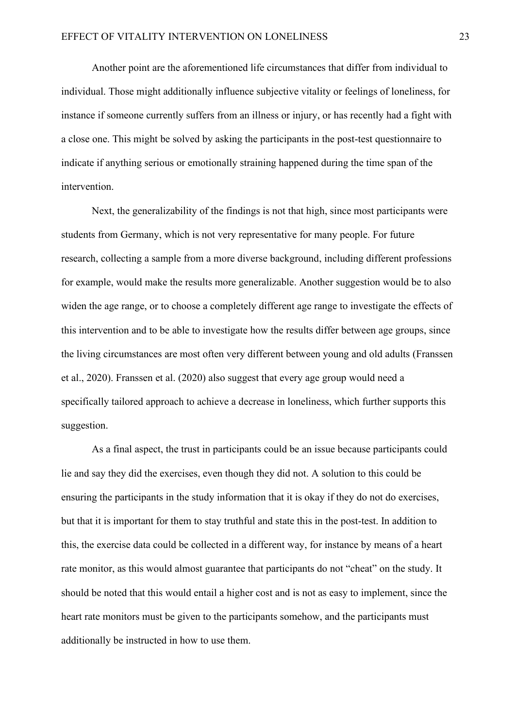Another point are the aforementioned life circumstances that differ from individual to individual. Those might additionally influence subjective vitality or feelings of loneliness, for instance if someone currently suffers from an illness or injury, or has recently had a fight with a close one. This might be solved by asking the participants in the post-test questionnaire to indicate if anything serious or emotionally straining happened during the time span of the intervention.

Next, the generalizability of the findings is not that high, since most participants were students from Germany, which is not very representative for many people. For future research, collecting a sample from a more diverse background, including different professions for example, would make the results more generalizable. Another suggestion would be to also widen the age range, or to choose a completely different age range to investigate the effects of this intervention and to be able to investigate how the results differ between age groups, since the living circumstances are most often very different between young and old adults (Franssen et al., 2020). Franssen et al. (2020) also suggest that every age group would need a specifically tailored approach to achieve a decrease in loneliness, which further supports this suggestion.

As a final aspect, the trust in participants could be an issue because participants could lie and say they did the exercises, even though they did not. A solution to this could be ensuring the participants in the study information that it is okay if they do not do exercises, but that it is important for them to stay truthful and state this in the post-test. In addition to this, the exercise data could be collected in a different way, for instance by means of a heart rate monitor, as this would almost guarantee that participants do not "cheat" on the study. It should be noted that this would entail a higher cost and is not as easy to implement, since the heart rate monitors must be given to the participants somehow, and the participants must additionally be instructed in how to use them.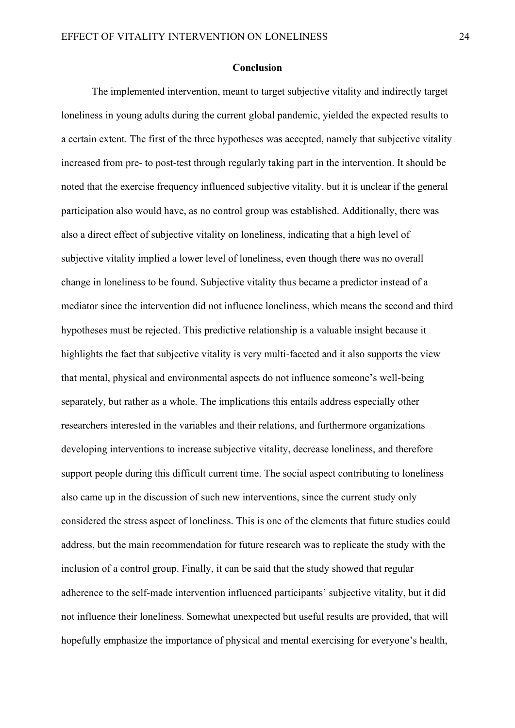#### **Conclusion**

<span id="page-23-0"></span>The implemented intervention, meant to target subjective vitality and indirectly target loneliness in young adults during the current global pandemic, yielded the expected results to a certain extent. The first of the three hypotheses was accepted, namely that subjective vitality increased from pre- to post-test through regularly taking part in the intervention. It should be noted that the exercise frequency influenced subjective vitality, but it is unclear if the general participation also would have, as no control group was established. Additionally, there was also a direct effect of subjective vitality on loneliness, indicating that a high level of subjective vitality implied a lower level of loneliness, even though there was no overall change in loneliness to be found. Subjective vitality thus became a predictor instead of a mediator since the intervention did not influence loneliness, which means the second and third hypotheses must be rejected. This predictive relationship is a valuable insight because it highlights the fact that subjective vitality is very multi-faceted and it also supports the view that mental, physical and environmental aspects do not influence someone's well-being separately, but rather as a whole. The implications this entails address especially other researchers interested in the variables and their relations, and furthermore organizations developing interventions to increase subjective vitality, decrease loneliness, and therefore support people during this difficult current time. The social aspect contributing to loneliness also came up in the discussion of such new interventions, since the current study only considered the stress aspect of loneliness. This is one of the elements that future studies could address, but the main recommendation for future research was to replicate the study with the inclusion of a control group. Finally, it can be said that the study showed that regular adherence to the self-made intervention influenced participants' subjective vitality, but it did not influence their loneliness. Somewhat unexpected but useful results are provided, that will hopefully emphasize the importance of physical and mental exercising for everyone's health,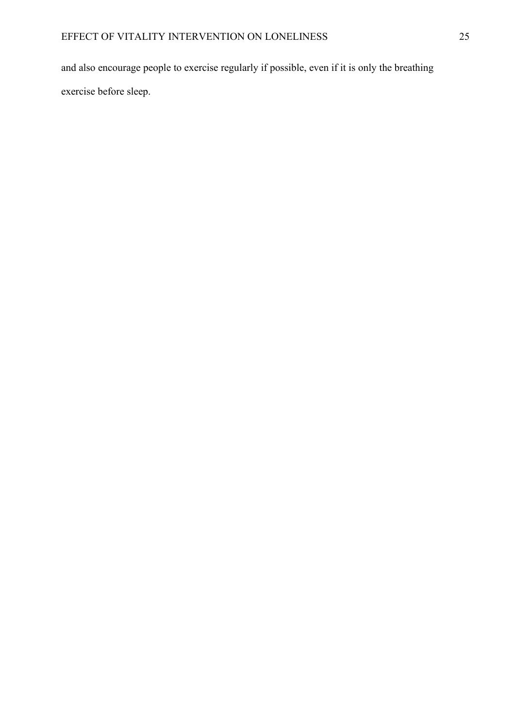and also encourage people to exercise regularly if possible, even if it is only the breathing exercise before sleep.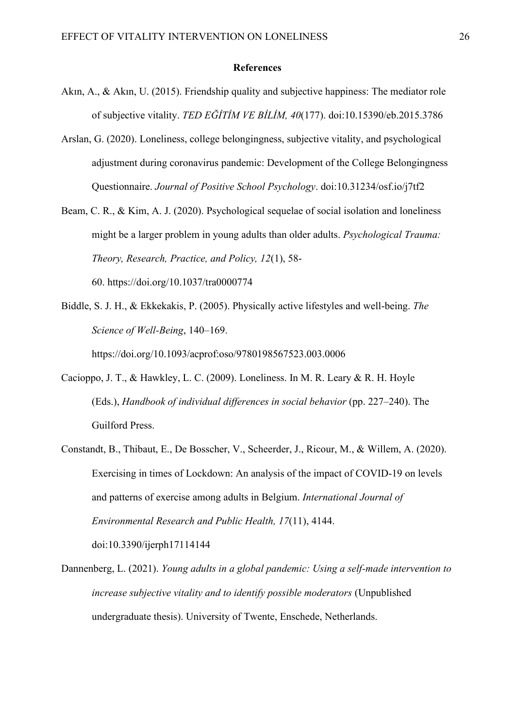#### **References**

- <span id="page-25-0"></span>Akın, A., & Akın, U. (2015). Friendship quality and subjective happiness: The mediator role of subjective vitality. *TED EĞİTİM VE BİLİM, 40*(177). doi:10.15390/eb.2015.3786
- Arslan, G. (2020). Loneliness, college belongingness, subjective vitality, and psychological adjustment during coronavirus pandemic: Development of the College Belongingness Questionnaire. *Journal of Positive School Psychology*. doi:10.31234/osf.io/j7tf2
- Beam, C. R., & Kim, A. J. (2020). Psychological sequelae of social isolation and loneliness might be a larger problem in young adults than older adults. *Psychological Trauma: Theory, Research, Practice, and Policy, 12*(1), 58- 60. https://doi.org/10.1037/tra0000774
- Biddle, S. J. H., & Ekkekakis, P. (2005). Physically active lifestyles and well-being. *The Science of Well-Being*, 140–169.

https://doi.org/10.1093/acprof:oso/9780198567523.003.0006

- Cacioppo, J. T., & Hawkley, L. C. (2009). Loneliness. In M. R. Leary & R. H. Hoyle (Eds.), *Handbook of individual differences in social behavior* (pp. 227–240). The Guilford Press.
- Constandt, B., Thibaut, E., De Bosscher, V., Scheerder, J., Ricour, M., & Willem, A. (2020). Exercising in times of Lockdown: An analysis of the impact of COVID-19 on levels and patterns of exercise among adults in Belgium. *International Journal of Environmental Research and Public Health, 17*(11), 4144.

doi:10.3390/ijerph17114144

Dannenberg, L. (2021). *Young adults in a global pandemic: Using a self-made intervention to increase subjective vitality and to identify possible moderators* (Unpublished undergraduate thesis). University of Twente, Enschede, Netherlands.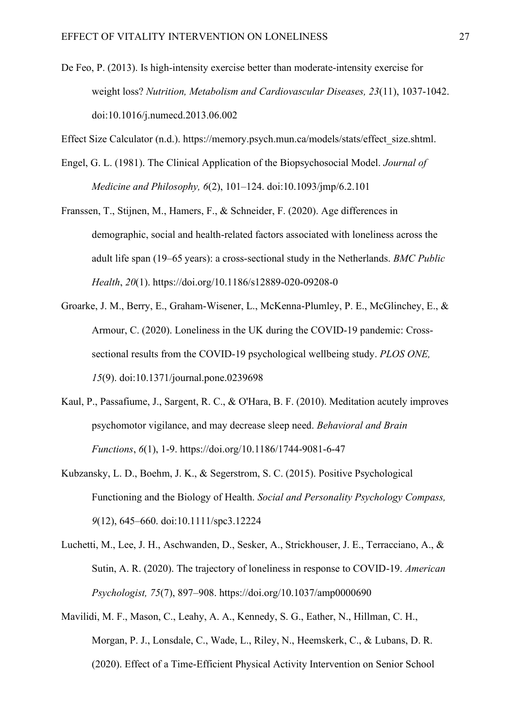De Feo, P. (2013). Is high-intensity exercise better than moderate-intensity exercise for weight loss? *Nutrition, Metabolism and Cardiovascular Diseases, 23*(11), 1037-1042. doi:10.1016/j.numecd.2013.06.002

Effect Size Calculator (n.d.). https://memory.psych.mun.ca/models/stats/effect\_size.shtml.

- Engel, G. L. (1981). The Clinical Application of the Biopsychosocial Model. *Journal of Medicine and Philosophy, 6*(2), 101–124. doi:10.1093/jmp/6.2.101
- Franssen, T., Stijnen, M., Hamers, F., & Schneider, F. (2020). Age differences in demographic, social and health-related factors associated with loneliness across the adult life span (19–65 years): a cross-sectional study in the Netherlands. *BMC Public Health*, *20*(1). https://doi.org/10.1186/s12889-020-09208-0
- Groarke, J. M., Berry, E., Graham-Wisener, L., McKenna-Plumley, P. E., McGlinchey, E., & Armour, C. (2020). Loneliness in the UK during the COVID-19 pandemic: Crosssectional results from the COVID-19 psychological wellbeing study. *PLOS ONE, 15*(9). doi:10.1371/journal.pone.0239698
- Kaul, P., Passafiume, J., Sargent, R. C., & O'Hara, B. F. (2010). Meditation acutely improves psychomotor vigilance, and may decrease sleep need. *Behavioral and Brain Functions*, *6*(1), 1-9. https://doi.org/10.1186/1744-9081-6-47
- Kubzansky, L. D., Boehm, J. K., & Segerstrom, S. C. (2015). Positive Psychological Functioning and the Biology of Health. *Social and Personality Psychology Compass, 9*(12), 645–660. doi:10.1111/spc3.12224
- Luchetti, M., Lee, J. H., Aschwanden, D., Sesker, A., Strickhouser, J. E., Terracciano, A., & Sutin, A. R. (2020). The trajectory of loneliness in response to COVID-19. *American Psychologist, 75*(7), 897–908. https://doi.org/10.1037/amp0000690
- Mavilidi, M. F., Mason, C., Leahy, A. A., Kennedy, S. G., Eather, N., Hillman, C. H., Morgan, P. J., Lonsdale, C., Wade, L., Riley, N., Heemskerk, C., & Lubans, D. R. (2020). Effect of a Time-Efficient Physical Activity Intervention on Senior School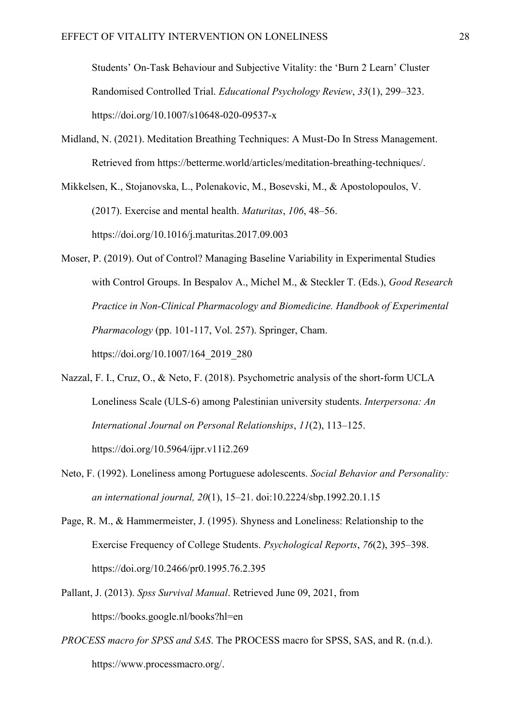Students' On-Task Behaviour and Subjective Vitality: the 'Burn 2 Learn' Cluster Randomised Controlled Trial. *Educational Psychology Review*, *33*(1), 299–323. https://doi.org/10.1007/s10648-020-09537-x

- Midland, N. (2021). Meditation Breathing Techniques: A Must-Do In Stress Management. Retrieved from https://betterme.world/articles/meditation-breathing-techniques/.
- Mikkelsen, K., Stojanovska, L., Polenakovic, M., Bosevski, M., & Apostolopoulos, V. (2017). Exercise and mental health. *Maturitas*, *106*, 48–56. https://doi.org/10.1016/j.maturitas.2017.09.003
- Moser, P. (2019). Out of Control? Managing Baseline Variability in Experimental Studies with Control Groups. In Bespalov A., Michel M., & Steckler T. (Eds.), *Good Research Practice in Non-Clinical Pharmacology and Biomedicine. Handbook of Experimental Pharmacology* (pp. 101-117, Vol. 257). Springer, Cham. https://doi.org/10.1007/164\_2019\_280
- Nazzal, F. I., Cruz, O., & Neto, F. (2018). Psychometric analysis of the short-form UCLA Loneliness Scale (ULS-6) among Palestinian university students. *Interpersona: An International Journal on Personal Relationships*, *11*(2), 113–125. https://doi.org/10.5964/ijpr.v11i2.269
- Neto, F. (1992). Loneliness among Portuguese adolescents. *Social Behavior and Personality: an international journal, 20*(1), 15–21. doi:10.2224/sbp.1992.20.1.15
- Page, R. M., & Hammermeister, J. (1995). Shyness and Loneliness: Relationship to the Exercise Frequency of College Students. *Psychological Reports*, *76*(2), 395–398. https://doi.org/10.2466/pr0.1995.76.2.395
- Pallant, J. (2013). *Spss Survival Manual*. Retrieved June 09, 2021, from https://books.google.nl/books?hl=en
- *PROCESS macro for SPSS and SAS*. The PROCESS macro for SPSS, SAS, and R. (n.d.). https://www.processmacro.org/.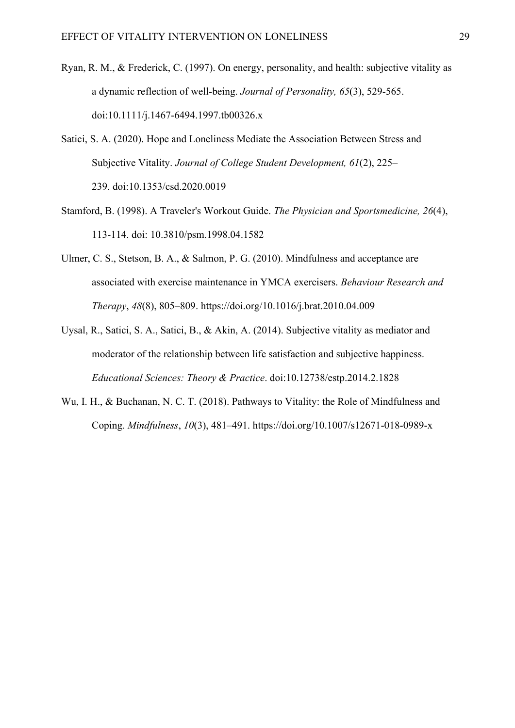- Ryan, R. M., & Frederick, C. (1997). On energy, personality, and health: subjective vitality as a dynamic reflection of well-being. *Journal of Personality, 65*(3), 529-565. doi:10.1111/j.1467-6494.1997.tb00326.x
- Satici, S. A. (2020). Hope and Loneliness Mediate the Association Between Stress and Subjective Vitality. *Journal of College Student Development, 61*(2), 225– 239. doi:10.1353/csd.2020.0019
- Stamford, B. (1998). A Traveler's Workout Guide. *The Physician and Sportsmedicine, 26*(4), 113-114. doi: 10.3810/psm.1998.04.1582
- Ulmer, C. S., Stetson, B. A., & Salmon, P. G. (2010). Mindfulness and acceptance are associated with exercise maintenance in YMCA exercisers. *Behaviour Research and Therapy*, *48*(8), 805–809. https://doi.org/10.1016/j.brat.2010.04.009
- Uysal, R., Satici, S. A., Satici, B., & Akin, A. (2014). Subjective vitality as mediator and moderator of the relationship between life satisfaction and subjective happiness. *Educational Sciences: Theory & Practice*. doi:10.12738/estp.2014.2.1828
- Wu, I. H., & Buchanan, N. C. T. (2018). Pathways to Vitality: the Role of Mindfulness and Coping. *Mindfulness*, *10*(3), 481–491. https://doi.org/10.1007/s12671-018-0989-x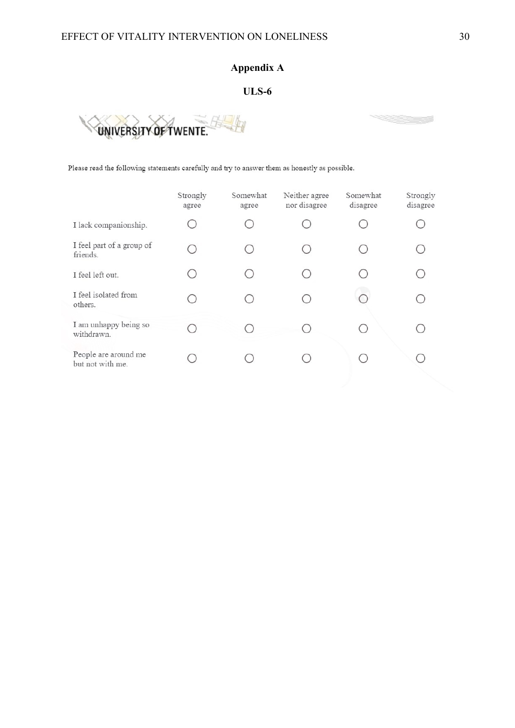# **Appendix A**

# **ULS-6**

<span id="page-29-0"></span>

Please read the following statements carefully and try to answer them as honestly as possible.

|                                          | Strongly<br>agree | Somewhat<br>agree | Neither agree<br>nor disagree | Somewhat<br>disagree | Strongly<br>disagree |
|------------------------------------------|-------------------|-------------------|-------------------------------|----------------------|----------------------|
| I lack companionship.                    |                   |                   |                               |                      |                      |
| I feel part of a group of<br>friends.    |                   |                   |                               |                      |                      |
| I feel left out.                         |                   |                   |                               |                      |                      |
| I feel isolated from<br>others.          |                   |                   |                               |                      |                      |
| I am unhappy being so<br>withdrawn.      |                   |                   |                               |                      |                      |
| People are around me<br>but not with me. |                   |                   |                               |                      |                      |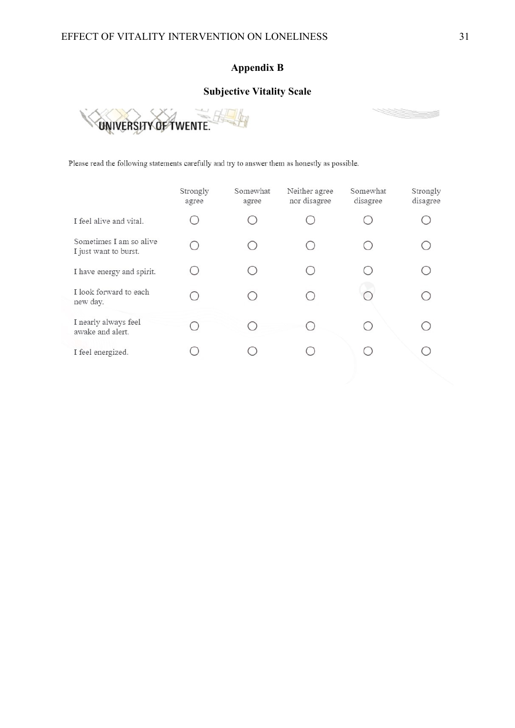# **Appendix B**

# **Subjective Vitality Scale**

<span id="page-30-0"></span>

Please read the following statements carefully and try to answer them as honestly as possible.

|                                                  | Strongly<br>agree | Somewhat<br>agree | Neither agree<br>nor disagree | Somewhat<br>disagree | Strongly<br>disagree |
|--------------------------------------------------|-------------------|-------------------|-------------------------------|----------------------|----------------------|
| I feel alive and vital.                          |                   |                   |                               |                      |                      |
| Sometimes I am so alive<br>I just want to burst. | ∩                 |                   |                               |                      |                      |
| I have energy and spirit.                        |                   |                   |                               |                      |                      |
| I look forward to each<br>new day.               |                   |                   |                               |                      |                      |
| I nearly always feel<br>awake and alert.         |                   |                   |                               |                      |                      |
| I feel energized.                                |                   |                   |                               |                      |                      |

<u>e de la c</u>